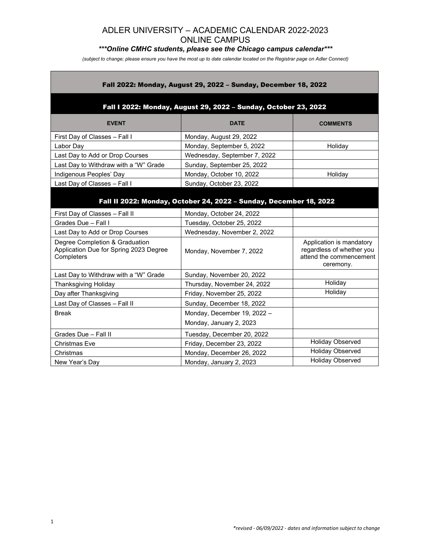# *\*\*\*Online CMHC students, please see the Chicago campus calendar\*\*\**

*(subject to change; please ensure you have the most up to date calendar located on the Registrar page on Adler Connect)*

| Fall 2022: Monday, August 29, 2022 - Sunday, December 18, 2022<br>Fall I 2022: Monday, August 29, 2022 - Sunday, October 23, 2022 |                              |                                                                                               |  |  |
|-----------------------------------------------------------------------------------------------------------------------------------|------------------------------|-----------------------------------------------------------------------------------------------|--|--|
|                                                                                                                                   |                              |                                                                                               |  |  |
| First Day of Classes - Fall I                                                                                                     | Monday, August 29, 2022      |                                                                                               |  |  |
| Labor Day                                                                                                                         | Monday, September 5, 2022    | Holiday                                                                                       |  |  |
| Last Day to Add or Drop Courses                                                                                                   | Wednesday, September 7, 2022 |                                                                                               |  |  |
| Last Day to Withdraw with a "W" Grade                                                                                             | Sunday, September 25, 2022   |                                                                                               |  |  |
| Indigenous Peoples' Day                                                                                                           | Monday, October 10, 2022     | Holiday                                                                                       |  |  |
| Last Day of Classes - Fall I                                                                                                      | Sunday, October 23, 2022     |                                                                                               |  |  |
| Fall II 2022: Monday, October 24, 2022 - Sunday, December 18, 2022                                                                |                              |                                                                                               |  |  |
| First Day of Classes - Fall II                                                                                                    | Monday, October 24, 2022     |                                                                                               |  |  |
| Grades Due - Fall I                                                                                                               | Tuesday, October 25, 2022    |                                                                                               |  |  |
| Last Day to Add or Drop Courses                                                                                                   | Wednesday, November 2, 2022  |                                                                                               |  |  |
| Degree Completion & Graduation<br>Application Due for Spring 2023 Degree<br>Completers                                            | Monday, November 7, 2022     | Application is mandatory<br>regardless of whether you<br>attend the commencement<br>ceremony. |  |  |
| Last Day to Withdraw with a "W" Grade                                                                                             | Sunday, November 20, 2022    |                                                                                               |  |  |
| <b>Thanksgiving Holiday</b>                                                                                                       | Thursday, November 24, 2022  | Holiday                                                                                       |  |  |
| Day after Thanksgiving                                                                                                            | Friday, November 25, 2022    | Holiday                                                                                       |  |  |
| Last Day of Classes - Fall II                                                                                                     | Sunday, December 18, 2022    |                                                                                               |  |  |
| <b>Break</b>                                                                                                                      | Monday, December 19, 2022 -  |                                                                                               |  |  |
|                                                                                                                                   | Monday, January 2, 2023      |                                                                                               |  |  |
| Grades Due - Fall II                                                                                                              | Tuesday, December 20, 2022   |                                                                                               |  |  |
| <b>Christmas Eve</b>                                                                                                              | Friday, December 23, 2022    | Holiday Observed                                                                              |  |  |
| Christmas                                                                                                                         | Monday, December 26, 2022    | <b>Holiday Observed</b>                                                                       |  |  |
| New Year's Day                                                                                                                    | Monday, January 2, 2023      | <b>Holiday Observed</b>                                                                       |  |  |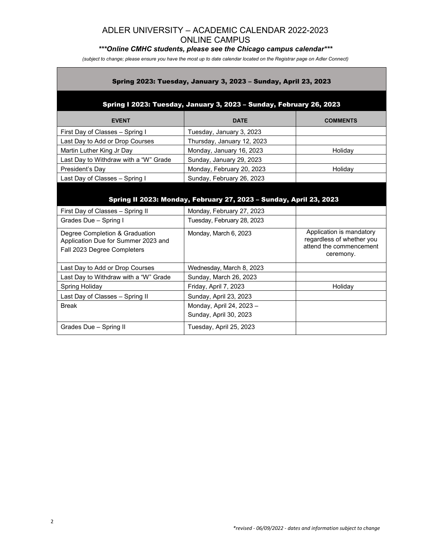# *\*\*\*Online CMHC students, please see the Chicago campus calendar\*\*\**

*(subject to change; please ensure you have the most up to date calendar located on the Registrar page on Adler Connect)*

| Spring 2023: Tuesday, January 3, 2023 - Sunday, April 23, 2023                                       |                                                         |                                                                                               |  |  |
|------------------------------------------------------------------------------------------------------|---------------------------------------------------------|-----------------------------------------------------------------------------------------------|--|--|
| Spring I 2023: Tuesday, January 3, 2023 - Sunday, February 26, 2023                                  |                                                         |                                                                                               |  |  |
| <b>EVENT</b>                                                                                         | <b>DATE</b>                                             | <b>COMMENTS</b>                                                                               |  |  |
| First Day of Classes - Spring I                                                                      | Tuesday, January 3, 2023                                |                                                                                               |  |  |
| Last Day to Add or Drop Courses                                                                      | Thursday, January 12, 2023                              |                                                                                               |  |  |
| Martin Luther King Jr Day                                                                            | Monday, January 16, 2023                                | Holiday                                                                                       |  |  |
| Last Day to Withdraw with a "W" Grade                                                                | Sunday, January 29, 2023                                |                                                                                               |  |  |
| President's Day                                                                                      | Monday, February 20, 2023                               | Holiday                                                                                       |  |  |
| Last Day of Classes - Spring I                                                                       | Sunday, February 26, 2023                               |                                                                                               |  |  |
| Spring II 2023: Monday, February 27, 2023 - Sunday, April 23, 2023                                   |                                                         |                                                                                               |  |  |
| First Day of Classes - Spring II<br>Grades Due - Spring I                                            | Monday, February 27, 2023<br>Tuesday, February 28, 2023 |                                                                                               |  |  |
|                                                                                                      |                                                         |                                                                                               |  |  |
| Degree Completion & Graduation<br>Application Due for Summer 2023 and<br>Fall 2023 Degree Completers | Monday, March 6, 2023                                   | Application is mandatory<br>regardless of whether you<br>attend the commencement<br>ceremony. |  |  |
| Last Day to Add or Drop Courses                                                                      | Wednesday, March 8, 2023                                |                                                                                               |  |  |
| Last Day to Withdraw with a "W" Grade                                                                | Sunday, March 26, 2023                                  |                                                                                               |  |  |
| Spring Holiday                                                                                       | Friday, April 7, 2023                                   | Holiday                                                                                       |  |  |
| Last Day of Classes - Spring II                                                                      | Sunday, April 23, 2023                                  |                                                                                               |  |  |
| <b>Break</b>                                                                                         | Monday, April 24, 2023 -<br>Sunday, April 30, 2023      |                                                                                               |  |  |
| Grades Due - Spring II                                                                               | Tuesday, April 25, 2023                                 |                                                                                               |  |  |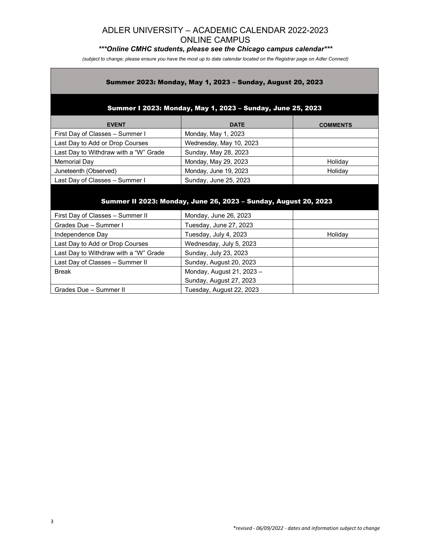# *\*\*\*Online CMHC students, please see the Chicago campus calendar\*\*\**

*(subject to change; please ensure you have the most up to date calendar located on the Registrar page on Adler Connect)*

#### Summer 2023: Monday, May 1, 2023 – Sunday, August 20, 2023

#### Summer I 2023: Monday, May 1, 2023 – Sunday, June 25, 2023

| <b>EVENT</b>                          | <b>DATE</b>             | <b>COMMENTS</b> |
|---------------------------------------|-------------------------|-----------------|
| First Day of Classes - Summer I       | Monday, May 1, 2023     |                 |
| Last Day to Add or Drop Courses       | Wednesday, May 10, 2023 |                 |
| Last Day to Withdraw with a "W" Grade | Sunday, May 28, 2023    |                 |
| Memorial Day                          | Monday, May 29, 2023    | Holiday         |
| Juneteenth (Observed)                 | Monday, June 19, 2023   | Holidav         |
| Last Day of Classes - Summer I        | Sunday, June 25, 2023   |                 |

# Summer II 2023: Monday, June 26, 2023 – Sunday, August 20, 2023

| First Day of Classes - Summer II      | Monday, June 26, 2023     |         |
|---------------------------------------|---------------------------|---------|
| Grades Due - Summer I                 | Tuesday, June 27, 2023    |         |
| Independence Day                      | Tuesday, July 4, 2023     | Holiday |
| Last Day to Add or Drop Courses       | Wednesday, July 5, 2023   |         |
| Last Day to Withdraw with a "W" Grade | Sunday, July 23, 2023     |         |
| Last Day of Classes - Summer II       | Sunday, August 20, 2023   |         |
| <b>Break</b>                          | Monday, August 21, 2023 - |         |
|                                       | Sunday, August 27, 2023   |         |
| Grades Due - Summer II                | Tuesday, August 22, 2023  |         |